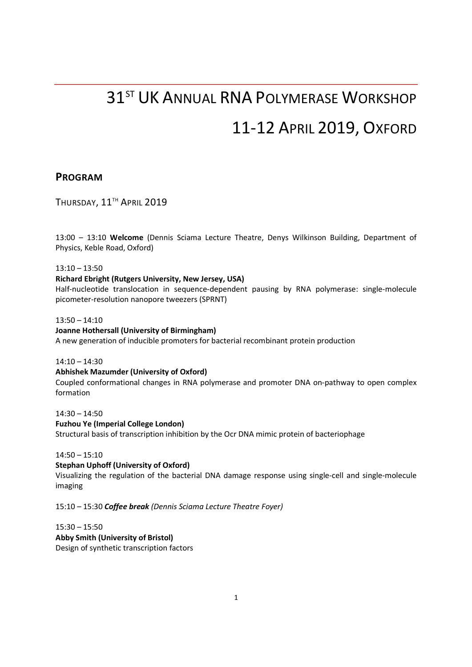# 31<sup>ST</sup> UK ANNUAL RNA POLYMERASE WORKSHOP 11-12 APRIL 2019, OXFORD

### PROGRAM

THURSDAY, 11<sup>TH</sup> APRIL 2019

13:00 – 13:10 Welcome (Dennis Sciama Lecture Theatre, Denys Wilkinson Building, Department of Physics, Keble Road, Oxford)

13:10 – 13:50

#### Richard Ebright (Rutgers University, New Jersey, USA)

Half-nucleotide translocation in sequence-dependent pausing by RNA polymerase: single-molecule picometer-resolution nanopore tweezers (SPRNT)

13:50 – 14:10

#### Joanne Hothersall (University of Birmingham)

A new generation of inducible promoters for bacterial recombinant protein production

14:10 – 14:30

#### Abhishek Mazumder (University of Oxford) Coupled conformational changes in RNA polymerase and promoter DNA on-pathway to open complex formation

14:30 – 14:50 Fuzhou Ye (Imperial College London) Structural basis of transcription inhibition by the Ocr DNA mimic protein of bacteriophage

14:50 – 15:10

#### Stephan Uphoff (University of Oxford)

Visualizing the regulation of the bacterial DNA damage response using single-cell and single-molecule imaging

15:10 – 15:30 Coffee break (Dennis Sciama Lecture Theatre Foyer)

15:30 – 15:50 Abby Smith (University of Bristol) Design of synthetic transcription factors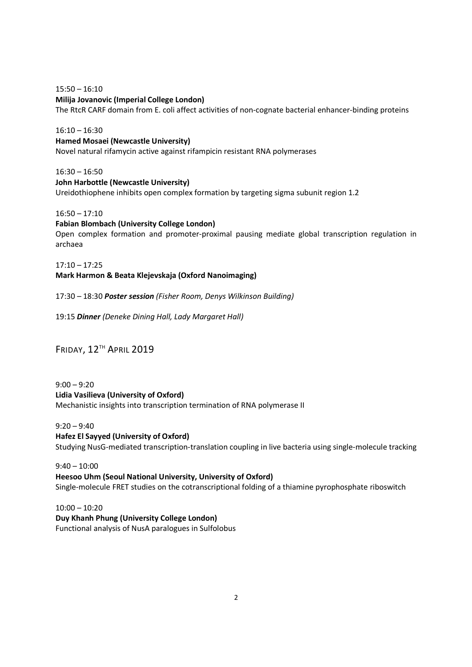15:50 – 16:10 Milija Jovanovic (Imperial College London) The RtcR CARF domain from E. coli affect activities of non-cognate bacterial enhancer-binding proteins

16:10 – 16:30 Hamed Mosaei (Newcastle University) Novel natural rifamycin active against rifampicin resistant RNA polymerases

16:30 – 16:50 John Harbottle (Newcastle University) Ureidothiophene inhibits open complex formation by targeting sigma subunit region 1.2

16:50 – 17:10 Fabian Blombach (University College London) Open complex formation and promoter-proximal pausing mediate global transcription regulation in archaea

17:10 – 17:25 Mark Harmon & Beata Klejevskaja (Oxford Nanoimaging)

17:30 – 18:30 Poster session (Fisher Room, Denys Wilkinson Building)

19:15 Dinner (Deneke Dining Hall, Lady Margaret Hall)

FRIDAY, 12TH APRIL 2019

9:00 – 9:20 Lidia Vasilieva (University of Oxford) Mechanistic insights into transcription termination of RNA polymerase II

 $9:20 - 9:40$ Hafez El Sayyed (University of Oxford) Studying NusG-mediated transcription-translation coupling in live bacteria using single-molecule tracking

 $9:40 - 10:00$ Heesoo Uhm (Seoul National University, University of Oxford) Single-molecule FRET studies on the cotranscriptional folding of a thiamine pyrophosphate riboswitch

10:00 – 10:20 Duy Khanh Phung (University College London) Functional analysis of NusA paralogues in Sulfolobus